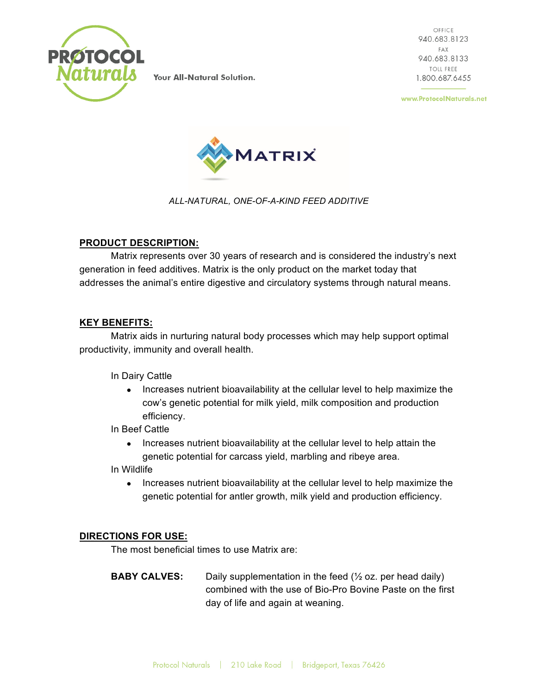

**Your All-Natural Solution.** 

OFFICE 940.683.8123 FAX 940.683.8133 **TOLL FREE** 1.800.687.6455

www.ProtocolNaturals.net



*ALL-NATURAL, ONE-OF-A-KIND FEED ADDITIVE*

## **PRODUCT DESCRIPTION:**

Matrix represents over 30 years of research and is considered the industry's next generation in feed additives. Matrix is the only product on the market today that addresses the animal's entire digestive and circulatory systems through natural means.

## **KEY BENEFITS:**

Matrix aids in nurturing natural body processes which may help support optimal productivity, immunity and overall health.

In Dairy Cattle

• Increases nutrient bioavailability at the cellular level to help maximize the cow's genetic potential for milk yield, milk composition and production efficiency.

In Beef Cattle

• Increases nutrient bioavailability at the cellular level to help attain the genetic potential for carcass yield, marbling and ribeye area.

In Wildlife

• Increases nutrient bioavailability at the cellular level to help maximize the genetic potential for antler growth, milk yield and production efficiency.

## **DIRECTIONS FOR USE:**

The most beneficial times to use Matrix are:

**BABY CALVES:** Daily supplementation in the feed ( $\frac{1}{2}$  oz. per head daily) combined with the use of Bio-Pro Bovine Paste on the first day of life and again at weaning.